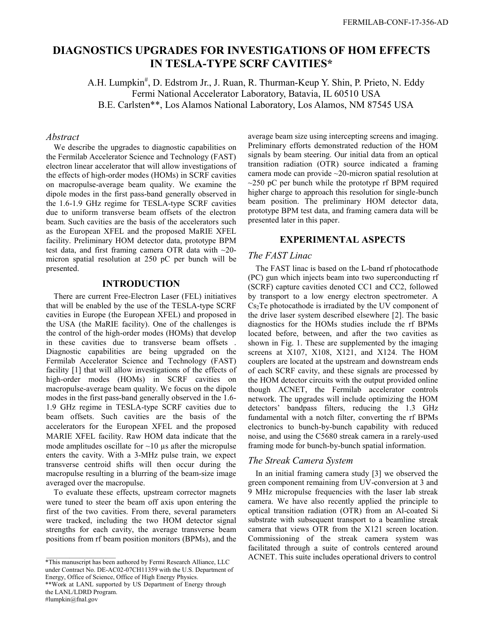# **DIAGNOSTICS UPGRADES FOR INVESTIGATIONS OF HOM EFFECTS IN TESLA-TYPE SCRF CAVITIES\***

A.H. Lumpkin<sup>#</sup>, D. Edstrom Jr., J. Ruan, R. Thurman-Keup Y. Shin, P. Prieto, N. Eddy Fermi National Accelerator Laboratory, Batavia, IL 60510 USA B.E. Carlsten\*\*, Los Alamos National Laboratory, Los Alamos, NM 87545 USA

#### *Abstract*

We describe the upgrades to diagnostic capabilities on the Fermilab Accelerator Science and Technology (FAST) electron linear accelerator that will allow investigations of the effects of high-order modes (HOMs) in SCRF cavities on macropulse-average beam quality. We examine the dipole modes in the first pass-band generally observed in the 1.6-1.9 GHz regime for TESLA-type SCRF cavities due to uniform transverse beam offsets of the electron beam. Such cavities are the basis of the accelerators such as the European XFEL and the proposed MaRIE XFEL facility. Preliminary HOM detector data, prototype BPM test data, and first framing camera OTR data with ~20 micron spatial resolution at 250 pC per bunch will be presented.

## **INTRODUCTION**

There are current Free-Electron Laser (FEL) initiatives that will be enabled by the use of the TESLA-type SCRF cavities in Europe (the European XFEL) and proposed in the USA (the MaRIE facility). One of the challenges is the control of the high-order modes (HOMs) that develop in these cavities due to transverse beam offsets . Diagnostic capabilities are being upgraded on the Fermilab Accelerator Science and Technology (FAST) facility [1] that will allow investigations of the effects of high-order modes (HOMs) in SCRF cavities on macropulse-average beam quality. We focus on the dipole modes in the first pass-band generally observed in the 1.6- 1.9 GHz regime in TESLA-type SCRF cavities due to beam offsets. Such cavities are the basis of the accelerators for the European XFEL and the proposed MARIE XFEL facility. Raw HOM data indicate that the mode amplitudes oscillate for  $\sim$ 10  $\mu$ s after the micropulse enters the cavity. With a 3-MHz pulse train, we expect transverse centroid shifts will then occur during the macropulse resulting in a blurring of the beam-size image averaged over the macropulse.

To evaluate these effects, upstream corrector magnets were tuned to steer the beam off axis upon entering the first of the two cavities. From there, several parameters were tracked, including the two HOM detector signal strengths for each cavity, the average transverse beam positions from rf beam position monitors (BPMs), and the

average beam size using intercepting screens and imaging. Preliminary efforts demonstrated reduction of the HOM signals by beam steering. Our initial data from an optical transition radiation (OTR) source indicated a framing camera mode can provide ~20-micron spatial resolution at  $\sim$ 250 pC per bunch while the prototype rf BPM required higher charge to approach this resolution for single-bunch beam position. The preliminary HOM detector data, prototype BPM test data, and framing camera data will be presented later in this paper.

# **EXPERIMENTAL ASPECTS**

# *The FAST Linac*

The FAST linac is based on the L-band rf photocathode (PC) gun which injects beam into two superconducting rf (SCRF) capture cavities denoted CC1 and CC2, followed by transport to a low energy electron spectrometer. A Cs2Te photocathode is irradiated by the UV component of the drive laser system described elsewhere [2]. The basic diagnostics for the HOMs studies include the rf BPMs located before, between, and after the two cavities as shown in Fig. 1. These are supplemented by the imaging screens at X107, X108, X121, and X124. The HOM couplers are located at the upstream and downstream ends of each SCRF cavity, and these signals are processed by the HOM detector circuits with the output provided online though ACNET, the Fermilab accelerator controls network. The upgrades will include optimizing the HOM detectors' bandpass filters, reducing the 1.3 GHz fundamental with a notch filter, converting the rf BPMs electronics to bunch-by-bunch capability with reduced noise, and using the C5680 streak camera in a rarely-used framing mode for bunch-by-bunch spatial information.

#### *The Streak Camera System*

In an initial framing camera study [3] we observed the green component remaining from UV-conversion at 3 and 9 MHz micropulse frequencies with the laser lab streak camera. We have also recently applied the principle to optical transition radiation (OTR) from an Al-coated Si substrate with subsequent transport to a beamline streak camera that views OTR from the X121 screen location. Commissioning of the streak camera system was facilitated through a suite of controls centered around ACNET. This suite includes operational drivers to control

\_\_\_\_\_\_\_\_\_\_\_\_\_\_\_\_\_\_\_\_\_ \*This manuscript has been authored by Fermi Research Alliance, LLC under Contract No. DE-AC02-07CH11359 with the U.S. Department of Energy, Office of Science, Office of High Energy Physics.

<sup>\*\*</sup>Work at LANL supported by US Department of Energy through the LANL/LDRD Program. #lumpkin@fnal.gov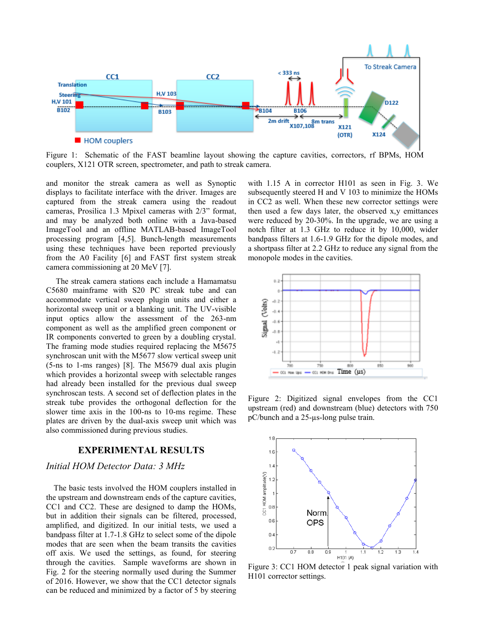

Figure 1: Schematic of the FAST beamline layout showing the capture cavities, correctors, rf BPMs, HOM couplers, X121 OTR screen, spectrometer, and path to streak camera.

and monitor the streak camera as well as Synoptic displays to facilitate interface with the driver. Images are captured from the streak camera using the readout cameras, Prosilica 1.3 Mpixel cameras with 2/3" format, and may be analyzed both online with a Java-based ImageTool and an offline MATLAB-based ImageTool processing program [4,5]. Bunch-length measurements using these techniques have been reported previously from the A0 Facility [6] and FAST first system streak camera commissioning at 20 MeV [7].

The streak camera stations each include a Hamamatsu C5680 mainframe with S20 PC streak tube and can accommodate vertical sweep plugin units and either a horizontal sweep unit or a blanking unit. The UV-visible input optics allow the assessment of the 263-nm component as well as the amplified green component or IR components converted to green by a doubling crystal. The framing mode studies required replacing the M5675 synchroscan unit with the M5677 slow vertical sweep unit (5-ns to 1-ms ranges) [8]. The M5679 dual axis plugin which provides a horizontal sweep with selectable ranges had already been installed for the previous dual sweep synchroscan tests. A second set of deflection plates in the streak tube provides the orthogonal deflection for the slower time axis in the 100-ns to 10-ms regime. These plates are driven by the dual-axis sweep unit which was also commissioned during previous studies.

# **EXPERIMENTAL RESULTS**

## *Initial HOM Detector Data: 3 MHz*

The basic tests involved the HOM couplers installed in the upstream and downstream ends of the capture cavities, CC1 and CC2. These are designed to damp the HOMs, but in addition their signals can be filtered, processed, amplified, and digitized. In our initial tests, we used a bandpass filter at 1.7-1.8 GHz to select some of the dipole modes that are seen when the beam transits the cavities off axis. We used the settings, as found, for steering through the cavities. Sample waveforms are shown in Fig. 2 for the steering normally used during the Summer of 2016. However, we show that the CC1 detector signals can be reduced and minimized by a factor of 5 by steering

with 1.15 A in corrector H101 as seen in Fig. 3. We subsequently steered H and V 103 to minimize the HOMs in CC2 as well. When these new corrector settings were then used a few days later, the observed x,y emittances were reduced by 20-30%. In the upgrade, we are using a notch filter at 1.3 GHz to reduce it by 10,000, wider bandpass filters at 1.6-1.9 GHz for the dipole modes, and a shortpass filter at 2.2 GHz to reduce any signal from the monopole modes in the cavities.



Figure 2: Digitized signal envelopes from the CC1 upstream (red) and downstream (blue) detectors with 750 pC/bunch and a 25-µs-long pulse train.



Figure 3: CC1 HOM detector 1 peak signal variation with H101 corrector settings.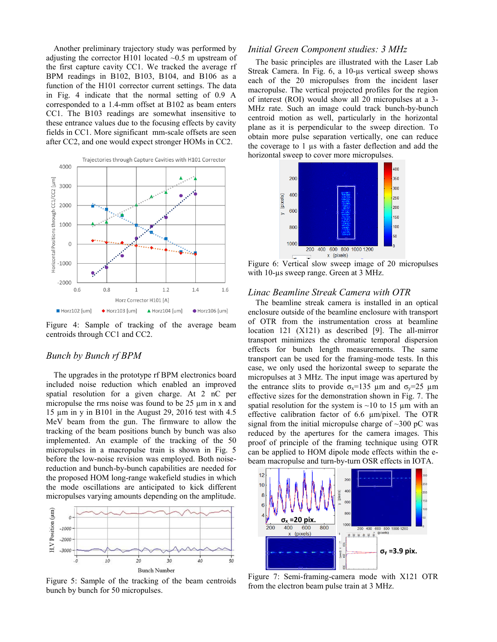Another preliminary trajectory study was performed by adjusting the corrector H101 located  $\sim 0.5$  m upstream of the first capture cavity CC1. We tracked the average rf BPM readings in B102, B103, B104, and B106 as a function of the H101 corrector current settings. The data in Fig. 4 indicate that the normal setting of 0.9 A corresponded to a 1.4-mm offset at B102 as beam enters CC1. The B103 readings are somewhat insensitive to these entrance values due to the focusing effects by cavity fields in CC1. More significant mm-scale offsets are seen after CC2, and one would expect stronger HOMs in CC2.



Figure 4: Sample of tracking of the average beam centroids through CC1 and CC2.

#### *Bunch by Bunch rf BPM*

The upgrades in the prototype rf BPM electronics board included noise reduction which enabled an improved spatial resolution for a given charge. At 2 nC per micropulse the rms noise was found to be  $25 \mu m$  in x and 15 µm in y in B101 in the August 29, 2016 test with 4.5 MeV beam from the gun. The firmware to allow the tracking of the beam positions bunch by bunch was also implemented. An example of the tracking of the 50 micropulses in a macropulse train is shown in Fig. 5 before the low-noise revision was employed. Both noisereduction and bunch-by-bunch capabilities are needed for the proposed HOM long-range wakefield studies in which the mode oscillations are anticipated to kick different micropulses varying amounts depending on the amplitude.



Figure 5: Sample of the tracking of the beam centroids bunch by bunch for 50 micropulses.

#### *Initial Green Component studies: 3 MHz*

The basic principles are illustrated with the Laser Lab Streak Camera. In Fig. 6, a 10-µs vertical sweep shows each of the 20 micropulses from the incident laser macropulse. The vertical projected profiles for the region of interest (ROI) would show all 20 micropulses at a 3- MHz rate. Such an image could track bunch-by-bunch centroid motion as well, particularly in the horizontal plane as it is perpendicular to the sweep direction. To obtain more pulse separation vertically, one can reduce the coverage to 1 µs with a faster deflection and add the horizontal sweep to cover more micropulses.



Figure 6: Vertical slow sweep image of 20 micropulses with 10-us sweep range. Green at 3 MHz.

#### *Linac Beamline Streak Camera with OTR*

The beamline streak camera is installed in an optical enclosure outside of the beamline enclosure with transport of OTR from the instrumentation cross at beamline location 121 (X121) as described [9]. The all-mirror transport minimizes the chromatic temporal dispersion effects for bunch length measurements. The same transport can be used for the framing-mode tests. In this case, we only used the horizontal sweep to separate the micropulses at 3 MHz. The input image was apertured by the entrance slits to provide  $\sigma_x = 135 \mu m$  and  $\sigma_y = 25 \mu m$ effective sizes for the demonstration shown in Fig. 7. The spatial resolution for the system is  $\sim$ 10 to 15  $\mu$ m with an effective calibration factor of 6.6 µm/pixel. The OTR signal from the initial micropulse charge of  $\sim$ 300 pC was reduced by the apertures for the camera images. This proof of principle of the framing technique using OTR can be applied to HOM dipole mode effects within the ebeam macropulse and turn-by-turn OSR effects in IOTA.



Figure 7: Semi-framing-camera mode with X121 OTR from the electron beam pulse train at 3 MHz.